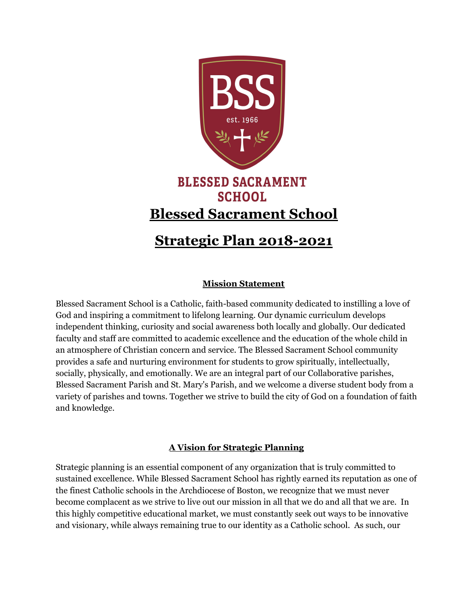

# **Strategic Plan 2018-2021**

#### **Mission Statement**

Blessed Sacrament School is a Catholic, faith-based community dedicated to instilling a love of God and inspiring a commitment to lifelong learning. Our dynamic curriculum develops independent thinking, curiosity and social awareness both locally and globally. Our dedicated faculty and staff are committed to academic excellence and the education of the whole child in an atmosphere of Christian concern and service. The Blessed Sacrament School community provides a safe and nurturing environment for students to grow spiritually, intellectually, socially, physically, and emotionally. We are an integral part of our Collaborative parishes, Blessed Sacrament Parish and St. Mary's Parish, and we welcome a diverse student body from a variety of parishes and towns. Together we strive to build the city of God on a foundation of faith and knowledge.

#### **A Vision for Strategic Planning**

Strategic planning is an essential component of any organization that is truly committed to sustained excellence. While Blessed Sacrament School has rightly earned its reputation as one of the finest Catholic schools in the Archdiocese of Boston, we recognize that we must never become complacent as we strive to live out our mission in all that we do and all that we are. In this highly competitive educational market, we must constantly seek out ways to be innovative and visionary, while always remaining true to our identity as a Catholic school. As such, our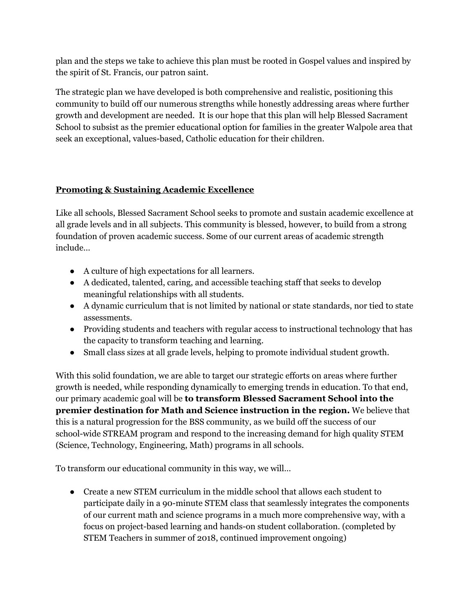plan and the steps we take to achieve this plan must be rooted in Gospel values and inspired by the spirit of St. Francis, our patron saint.

The strategic plan we have developed is both comprehensive and realistic, positioning this community to build off our numerous strengths while honestly addressing areas where further growth and development are needed. It is our hope that this plan will help Blessed Sacrament School to subsist as the premier educational option for families in the greater Walpole area that seek an exceptional, values-based, Catholic education for their children.

### **Promoting & Sustaining Academic Excellence**

Like all schools, Blessed Sacrament School seeks to promote and sustain academic excellence at all grade levels and in all subjects. This community is blessed, however, to build from a strong foundation of proven academic success. Some of our current areas of academic strength include…

- A culture of high expectations for all learners.
- A dedicated, talented, caring, and accessible teaching staff that seeks to develop meaningful relationships with all students.
- A dynamic curriculum that is not limited by national or state standards, nor tied to state assessments.
- Providing students and teachers with regular access to instructional technology that has the capacity to transform teaching and learning.
- Small class sizes at all grade levels, helping to promote individual student growth.

With this solid foundation, we are able to target our strategic efforts on areas where further growth is needed, while responding dynamically to emerging trends in education. To that end, our primary academic goal will be **to transform Blessed Sacrament School into the premier destination for Math and Science instruction in the region.** We believe that this is a natural progression for the BSS community, as we build off the success of our school-wide STREAM program and respond to the increasing demand for high quality STEM (Science, Technology, Engineering, Math) programs in all schools.

To transform our educational community in this way, we will…

● Create a new STEM curriculum in the middle school that allows each student to participate daily in a 90-minute STEM class that seamlessly integrates the components of our current math and science programs in a much more comprehensive way, with a focus on project-based learning and hands-on student collaboration. (completed by STEM Teachers in summer of 2018, continued improvement ongoing)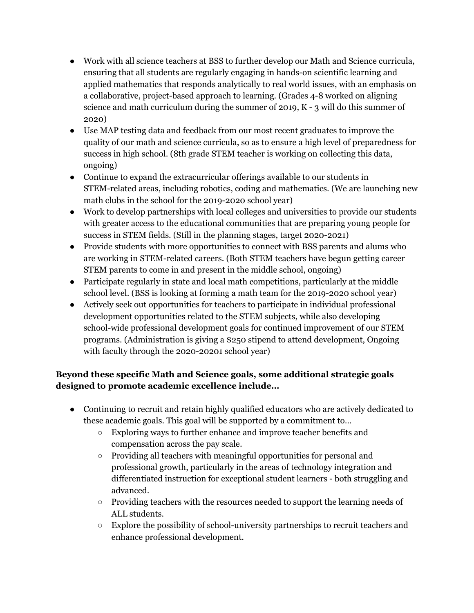- Work with all science teachers at BSS to further develop our Math and Science curricula, ensuring that all students are regularly engaging in hands-on scientific learning and applied mathematics that responds analytically to real world issues, with an emphasis on a collaborative, project-based approach to learning. (Grades 4-8 worked on aligning science and math curriculum during the summer of 2019, K - 3 will do this summer of 2020)
- Use MAP testing data and feedback from our most recent graduates to improve the quality of our math and science curricula, so as to ensure a high level of preparedness for success in high school. (8th grade STEM teacher is working on collecting this data, ongoing)
- Continue to expand the extracurricular offerings available to our students in STEM-related areas, including robotics, coding and mathematics. (We are launching new math clubs in the school for the 2019-2020 school year)
- Work to develop partnerships with local colleges and universities to provide our students with greater access to the educational communities that are preparing young people for success in STEM fields. (Still in the planning stages, target 2020-2021)
- Provide students with more opportunities to connect with BSS parents and alums who are working in STEM-related careers. (Both STEM teachers have begun getting career STEM parents to come in and present in the middle school, ongoing)
- Participate regularly in state and local math competitions, particularly at the middle school level. (BSS is looking at forming a math team for the 2019-2020 school year)
- Actively seek out opportunities for teachers to participate in individual professional development opportunities related to the STEM subjects, while also developing school-wide professional development goals for continued improvement of our STEM programs. (Administration is giving a \$250 stipend to attend development, Ongoing with faculty through the 2020-20201 school year)

## **Beyond these specific Math and Science goals, some additional strategic goals designed to promote academic excellence include…**

- Continuing to recruit and retain highly qualified educators who are actively dedicated to these academic goals. This goal will be supported by a commitment to…
	- Exploring ways to further enhance and improve teacher benefits and compensation across the pay scale.
	- Providing all teachers with meaningful opportunities for personal and professional growth, particularly in the areas of technology integration and differentiated instruction for exceptional student learners - both struggling and advanced.
	- Providing teachers with the resources needed to support the learning needs of ALL students.
	- Explore the possibility of school-university partnerships to recruit teachers and enhance professional development.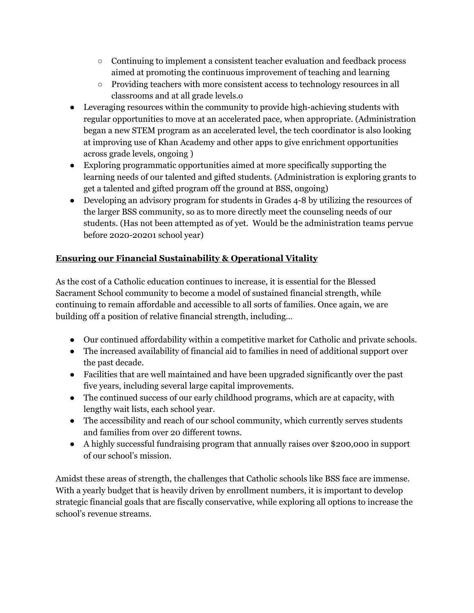- Continuing to implement a consistent teacher evaluation and feedback process aimed at promoting the continuous improvement of teaching and learning
- Providing teachers with more consistent access to technology resources in all classrooms and at all grade levels.o
- Leveraging resources within the community to provide high-achieving students with regular opportunities to move at an accelerated pace, when appropriate. (Administration began a new STEM program as an accelerated level, the tech coordinator is also looking at improving use of Khan Academy and other apps to give enrichment opportunities across grade levels, ongoing )
- Exploring programmatic opportunities aimed at more specifically supporting the learning needs of our talented and gifted students. (Administration is exploring grants to get a talented and gifted program off the ground at BSS, ongoing)
- Developing an advisory program for students in Grades 4-8 by utilizing the resources of the larger BSS community, so as to more directly meet the counseling needs of our students. (Has not been attempted as of yet. Would be the administration teams pervue before 2020-20201 school year)

# **Ensuring our Financial Sustainability & Operational Vitality**

As the cost of a Catholic education continues to increase, it is essential for the Blessed Sacrament School community to become a model of sustained financial strength, while continuing to remain affordable and accessible to all sorts of families. Once again, we are building off a position of relative financial strength, including…

- Our continued affordability within a competitive market for Catholic and private schools.
- The increased availability of financial aid to families in need of additional support over the past decade.
- Facilities that are well maintained and have been upgraded significantly over the past five years, including several large capital improvements.
- The continued success of our early childhood programs, which are at capacity, with lengthy wait lists, each school year.
- The accessibility and reach of our school community, which currently serves students and families from over 20 different towns.
- A highly successful fundraising program that annually raises over \$200,000 in support of our school's mission.

Amidst these areas of strength, the challenges that Catholic schools like BSS face are immense. With a yearly budget that is heavily driven by enrollment numbers, it is important to develop strategic financial goals that are fiscally conservative, while exploring all options to increase the school's revenue streams.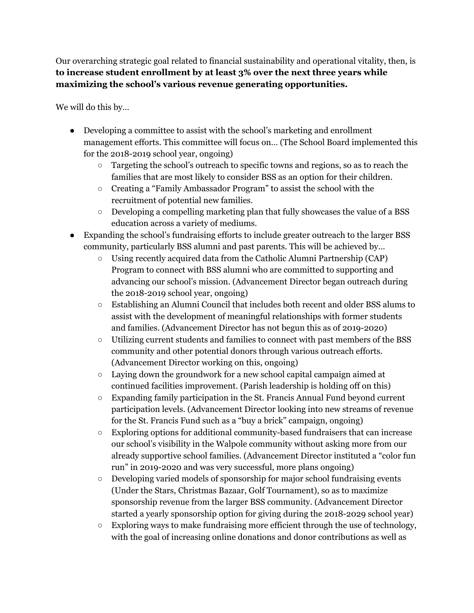Our overarching strategic goal related to financial sustainability and operational vitality, then, is **to increase student enrollment by at least 3% over the next three years while maximizing the school's various revenue generating opportunities.**

We will do this by…

- Developing a committee to assist with the school's marketing and enrollment management efforts. This committee will focus on… (The School Board implemented this for the 2018-2019 school year, ongoing)
	- Targeting the school's outreach to specific towns and regions, so as to reach the families that are most likely to consider BSS as an option for their children.
	- Creating a "Family Ambassador Program" to assist the school with the recruitment of potential new families.
	- Developing a compelling marketing plan that fully showcases the value of a BSS education across a variety of mediums.
- Expanding the school's fundraising efforts to include greater outreach to the larger BSS community, particularly BSS alumni and past parents. This will be achieved by…
	- Using recently acquired data from the Catholic Alumni Partnership (CAP) Program to connect with BSS alumni who are committed to supporting and advancing our school's mission. (Advancement Director began outreach during the 2018-2019 school year, ongoing)
	- Establishing an Alumni Council that includes both recent and older BSS alums to assist with the development of meaningful relationships with former students and families. (Advancement Director has not begun this as of 2019-2020)
	- Utilizing current students and families to connect with past members of the BSS community and other potential donors through various outreach efforts. (Advancement Director working on this, ongoing)
	- Laying down the groundwork for a new school capital campaign aimed at continued facilities improvement. (Parish leadership is holding off on this)
	- $\circ$  Expanding family participation in the St. Francis Annual Fund beyond current participation levels. (Advancement Director looking into new streams of revenue for the St. Francis Fund such as a "buy a brick" campaign, ongoing)
	- Exploring options for additional community-based fundraisers that can increase our school's visibility in the Walpole community without asking more from our already supportive school families. (Advancement Director instituted a "color fun run" in 2019-2020 and was very successful, more plans ongoing)
	- $\circ$  Developing varied models of sponsorship for major school fundraising events (Under the Stars, Christmas Bazaar, Golf Tournament), so as to maximize sponsorship revenue from the larger BSS community. (Advancement Director started a yearly sponsorship option for giving during the 2018-2029 school year)
	- Exploring ways to make fundraising more efficient through the use of technology, with the goal of increasing online donations and donor contributions as well as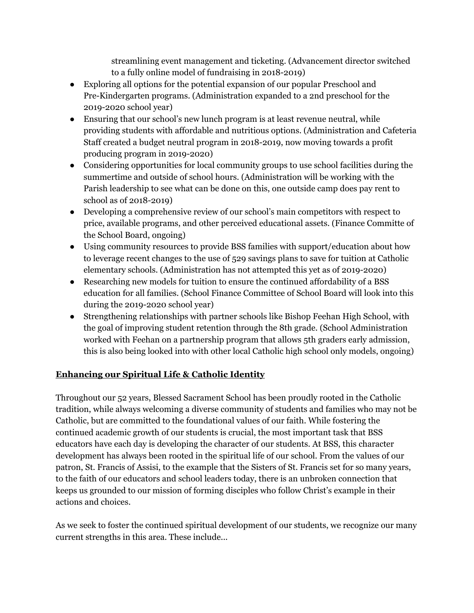streamlining event management and ticketing. (Advancement director switched to a fully online model of fundraising in 2018-2019)

- Exploring all options for the potential expansion of our popular Preschool and Pre-Kindergarten programs. (Administration expanded to a 2nd preschool for the 2019-2020 school year)
- Ensuring that our school's new lunch program is at least revenue neutral, while providing students with affordable and nutritious options. (Administration and Cafeteria Staff created a budget neutral program in 2018-2019, now moving towards a profit producing program in 2019-2020)
- Considering opportunities for local community groups to use school facilities during the summertime and outside of school hours. (Administration will be working with the Parish leadership to see what can be done on this, one outside camp does pay rent to school as of 2018-2019)
- Developing a comprehensive review of our school's main competitors with respect to price, available programs, and other perceived educational assets. (Finance Committe of the School Board, ongoing)
- Using community resources to provide BSS families with support/education about how to leverage recent changes to the use of 529 savings plans to save for tuition at Catholic elementary schools. (Administration has not attempted this yet as of 2019-2020)
- Researching new models for tuition to ensure the continued affordability of a BSS education for all families. (School Finance Committee of School Board will look into this during the 2019-2020 school year)
- Strengthening relationships with partner schools like Bishop Feehan High School, with the goal of improving student retention through the 8th grade. (School Administration worked with Feehan on a partnership program that allows 5th graders early admission, this is also being looked into with other local Catholic high school only models, ongoing)

# **Enhancing our Spiritual Life & Catholic Identity**

Throughout our 52 years, Blessed Sacrament School has been proudly rooted in the Catholic tradition, while always welcoming a diverse community of students and families who may not be Catholic, but are committed to the foundational values of our faith. While fostering the continued academic growth of our students is crucial, the most important task that BSS educators have each day is developing the character of our students. At BSS, this character development has always been rooted in the spiritual life of our school. From the values of our patron, St. Francis of Assisi, to the example that the Sisters of St. Francis set for so many years, to the faith of our educators and school leaders today, there is an unbroken connection that keeps us grounded to our mission of forming disciples who follow Christ's example in their actions and choices.

As we seek to foster the continued spiritual development of our students, we recognize our many current strengths in this area. These include...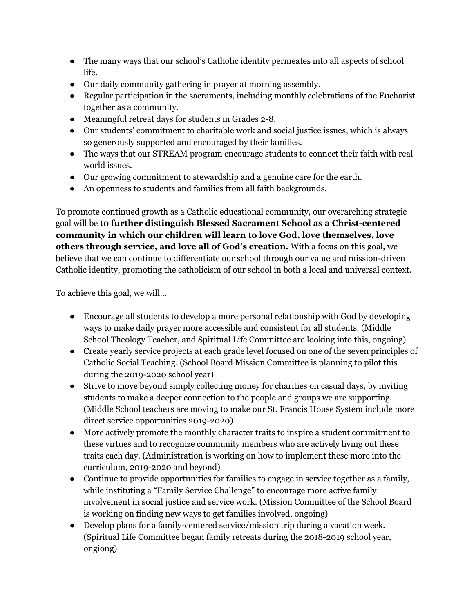- The many ways that our school's Catholic identity permeates into all aspects of school life.
- Our daily community gathering in prayer at morning assembly.
- Regular participation in the sacraments, including monthly celebrations of the Eucharist together as a community.
- Meaningful retreat days for students in Grades 2-8.
- Our students' commitment to charitable work and social justice issues, which is always so generously supported and encouraged by their families.
- The ways that our STREAM program encourage students to connect their faith with real world issues.
- Our growing commitment to stewardship and a genuine care for the earth.
- An openness to students and families from all faith backgrounds.

To promote continued growth as a Catholic educational community, our overarching strategic goal will be **to further distinguish Blessed Sacrament School as a Christ-centered community in which our children will learn to love God, love themselves, love others through service, and love all of God's creation.** With a focus on this goal, we believe that we can continue to differentiate our school through our value and mission-driven Catholic identity, promoting the catholicism of our school in both a local and universal context.

To achieve this goal, we will…

- Encourage all students to develop a more personal relationship with God by developing ways to make daily prayer more accessible and consistent for all students. (Middle School Theology Teacher, and Spiritual Life Committee are looking into this, ongoing)
- Create yearly service projects at each grade level focused on one of the seven principles of Catholic Social Teaching. (School Board Mission Committee is planning to pilot this during the 2019-2020 school year)
- Strive to move beyond simply collecting money for charities on casual days, by inviting students to make a deeper connection to the people and groups we are supporting. (Middle School teachers are moving to make our St. Francis House System include more direct service opportunities 2019-2020)
- More actively promote the monthly character traits to inspire a student commitment to these virtues and to recognize community members who are actively living out these traits each day. (Administration is working on how to implement these more into the curriculum, 2019-2020 and beyond)
- Continue to provide opportunities for families to engage in service together as a family, while instituting a "Family Service Challenge" to encourage more active family involvement in social justice and service work. (Mission Committee of the School Board is working on finding new ways to get families involved, ongoing)
- Develop plans for a family-centered service/mission trip during a vacation week. (Spiritual Life Committee began family retreats during the 2018-2019 school year, ongiong)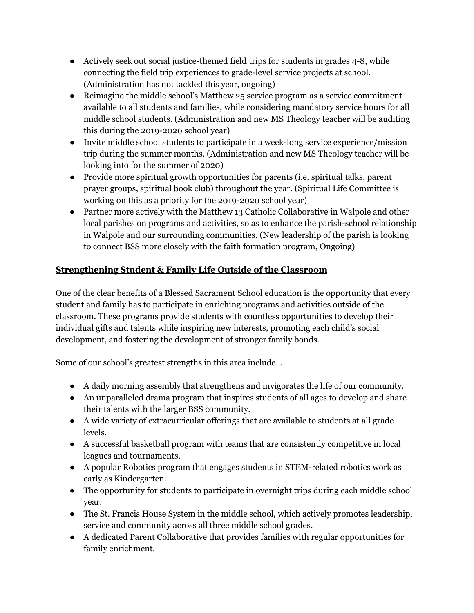- Actively seek out social justice-themed field trips for students in grades 4-8, while connecting the field trip experiences to grade-level service projects at school. (Administration has not tackled this year, ongoing)
- Reimagine the middle school's Matthew 25 service program as a service commitment available to all students and families, while considering mandatory service hours for all middle school students. (Administration and new MS Theology teacher will be auditing this during the 2019-2020 school year)
- Invite middle school students to participate in a week-long service experience/mission trip during the summer months. (Administration and new MS Theology teacher will be looking into for the summer of 2020)
- Provide more spiritual growth opportunities for parents (i.e. spiritual talks, parent prayer groups, spiritual book club) throughout the year. (Spiritual Life Committee is working on this as a priority for the 2019-2020 school year)
- Partner more actively with the Matthew 13 Catholic Collaborative in Walpole and other local parishes on programs and activities, so as to enhance the parish-school relationship in Walpole and our surrounding communities. (New leadership of the parish is looking to connect BSS more closely with the faith formation program, Ongoing)

# **Strengthening Student & Family Life Outside of the Classroom**

One of the clear benefits of a Blessed Sacrament School education is the opportunity that every student and family has to participate in enriching programs and activities outside of the classroom. These programs provide students with countless opportunities to develop their individual gifts and talents while inspiring new interests, promoting each child's social development, and fostering the development of stronger family bonds.

Some of our school's greatest strengths in this area include…

- A daily morning assembly that strengthens and invigorates the life of our community.
- An unparalleled drama program that inspires students of all ages to develop and share their talents with the larger BSS community.
- A wide variety of extracurricular offerings that are available to students at all grade levels.
- A successful basketball program with teams that are consistently competitive in local leagues and tournaments.
- A popular Robotics program that engages students in STEM-related robotics work as early as Kindergarten.
- The opportunity for students to participate in overnight trips during each middle school year.
- The St. Francis House System in the middle school, which actively promotes leadership, service and community across all three middle school grades.
- A dedicated Parent Collaborative that provides families with regular opportunities for family enrichment.